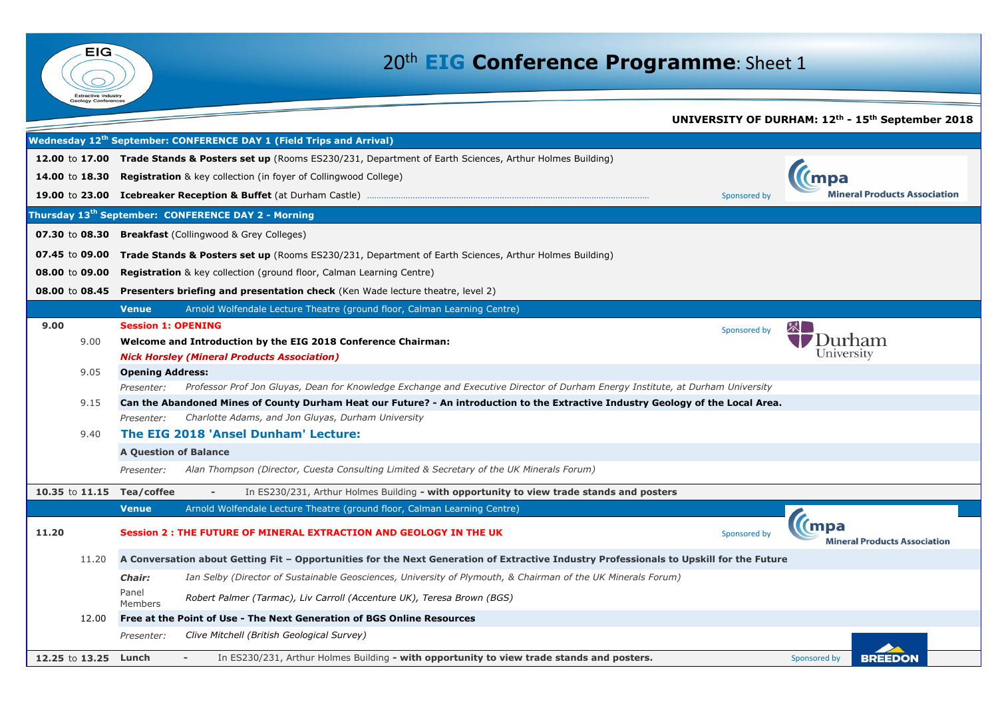|                           |                              |                                                                                                                                         | <b>UNIVERSITY OF DUR</b> |
|---------------------------|------------------------------|-----------------------------------------------------------------------------------------------------------------------------------------|--------------------------|
|                           |                              | Wednesday 12 <sup>th</sup> September: CONFERENCE DAY 1 (Field Trips and Arrival)                                                        |                          |
|                           |                              | 12.00 to 17.00 Trade Stands & Posters set up (Rooms ES230/231, Department of Earth Sciences, Arthur Holmes Building)                    |                          |
|                           |                              | 14.00 to 18.30 Registration & key collection (in foyer of Collingwood College)                                                          |                          |
|                           |                              |                                                                                                                                         | Sponsored by             |
|                           |                              | Thursday 13 <sup>th</sup> September: CONFERENCE DAY 2 - Morning                                                                         |                          |
|                           |                              | <b>07.30</b> to <b>08.30 Breakfast</b> (Collingwood & Grey Colleges)                                                                    |                          |
|                           |                              | 07.45 to 09.00 Trade Stands & Posters set up (Rooms ES230/231, Department of Earth Sciences, Arthur Holmes Building)                    |                          |
| 08.00 to 09.00            |                              | <b>Registration</b> & key collection (ground floor, Calman Learning Centre)                                                             |                          |
|                           |                              | <b>08.00 to 08.45 Presenters briefing and presentation check</b> (Ken Wade lecture theatre, level 2)                                    |                          |
|                           | <b>Venue</b>                 | Arnold Wolfendale Lecture Theatre (ground floor, Calman Learning Centre)                                                                |                          |
| 9.00                      | <b>Session 1: OPENING</b>    |                                                                                                                                         | Sponsored by             |
| 9.00                      |                              | Welcome and Introduction by the EIG 2018 Conference Chairman:                                                                           |                          |
|                           |                              | <b>Nick Horsley (Mineral Products Association)</b>                                                                                      |                          |
| 9.05                      | <b>Opening Address:</b>      |                                                                                                                                         |                          |
|                           | Presenter:                   | Professor Prof Jon Gluyas, Dean for Knowledge Exchange and Executive Director of Durham Energy Institute, at Durham University          |                          |
| 9.15                      |                              | Can the Abandoned Mines of County Durham Heat our Future? - An introduction to the Extractive Industry Geology of the Local Area.       |                          |
|                           | Presenter:                   | Charlotte Adams, and Jon Gluyas, Durham University                                                                                      |                          |
| 9.40                      |                              | The EIG 2018 'Ansel Dunham' Lecture:                                                                                                    |                          |
|                           | <b>A Question of Balance</b> |                                                                                                                                         |                          |
|                           | Presenter:                   | Alan Thompson (Director, Cuesta Consulting Limited & Secretary of the UK Minerals Forum)                                                |                          |
| 10.35 to 11.15 Tea/coffee |                              | In ES230/231, Arthur Holmes Building - with opportunity to view trade stands and posters                                                |                          |
|                           | <b>Venue</b>                 | Arnold Wolfendale Lecture Theatre (ground floor, Calman Learning Centre)                                                                |                          |
| 11.20                     |                              | Session 2 : THE FUTURE OF MINERAL EXTRACTION AND GEOLOGY IN THE UK                                                                      | Sponsored by             |
| 11.20                     |                              | A Conversation about Getting Fit - Opportunities for the Next Generation of Extractive Industry Professionals to Upskill for the Future |                          |
|                           | <b>Chair:</b>                | Ian Selby (Director of Sustainable Geosciences, University of Plymouth, & Chairman of the UK Minerals Forum)                            |                          |
|                           | Panel<br><b>Members</b>      | Robert Palmer (Tarmac), Liv Carroll (Accenture UK), Teresa Brown (BGS)                                                                  |                          |
| 12.00                     |                              | Free at the Point of Use - The Next Generation of BGS Online Resources                                                                  |                          |
|                           | Presenter:                   | Clive Mitchell (British Geological Survey)                                                                                              |                          |
| 12.25 to 13.25            | Lunch                        | In ES230/231, Arthur Holmes Building - with opportunity to view trade stands and posters.                                               |                          |



## 20th **EIG Conference Programme**: Sheet 1

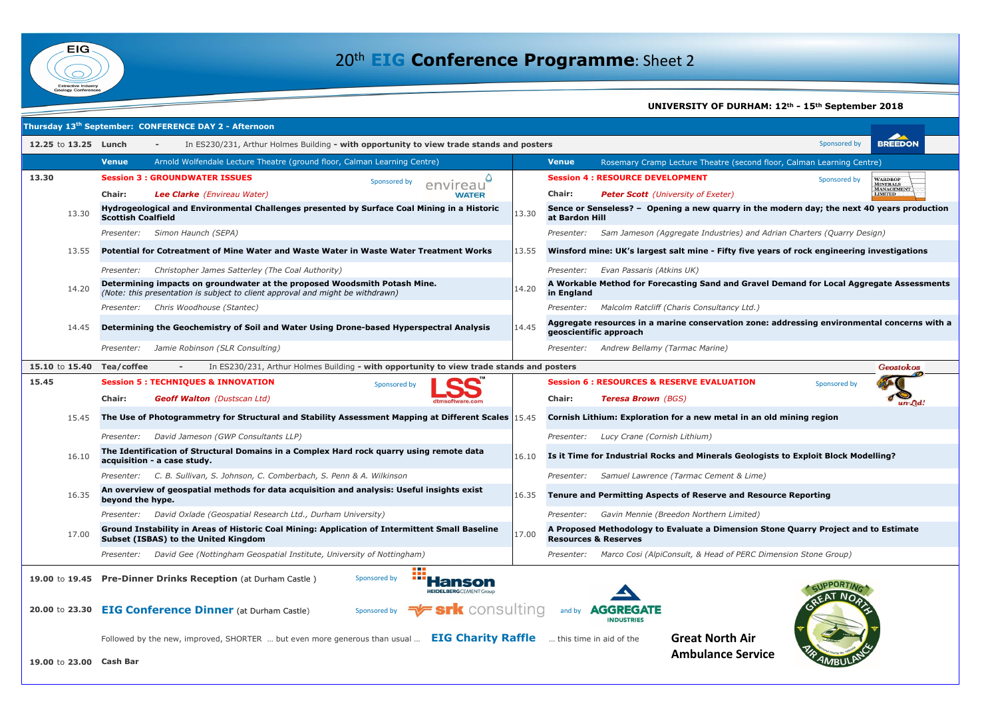

|                           | Thursday 13 <sup>th</sup> September: CONFERENCE DAY 2 - Afternoon                                                                                           |                         |                                                                                                           |
|---------------------------|-------------------------------------------------------------------------------------------------------------------------------------------------------------|-------------------------|-----------------------------------------------------------------------------------------------------------|
| 12.25 to 13.25 Lunch      | In ES230/231, Arthur Holmes Building - with opportunity to view trade stands and posters                                                                    |                         | Sponsored by                                                                                              |
|                           | Arnold Wolfendale Lecture Theatre (ground floor, Calman Learning Centre)<br><b>Venue</b>                                                                    |                         | Rosemary Cramp Lecture Theatre (second floor, Calman Learning Ce<br><b>Venue</b>                          |
| 13.30                     | <b>Session 3 : GROUNDWATER ISSUES</b><br>Sponsored by                                                                                                       | reau                    | <b>Session 4: RESOURCE DEVELOPMENT</b><br>Sponsored by                                                    |
|                           | <b>Chair:</b><br>Lee Clarke (Envireau Water)                                                                                                                | <b>WATER</b>            | <b>Chair:</b><br><b>Peter Scott</b> (University of Exeter)                                                |
| 13.30                     | Hydrogeological and Environmental Challenges presented by Surface Coal Mining in a Historic<br><b>Scottish Coalfield</b>                                    | 13.30                   | Sence or Senseless? - Opening a new quarry in the modern day; the next<br>at Bardon Hill                  |
|                           | Simon Haunch (SEPA)<br>Presenter:                                                                                                                           |                         | Sam Jameson (Aggregate Industries) and Adrian Charters (Quarry D<br>Presenter:                            |
| 13.55                     | Potential for Cotreatment of Mine Water and Waste Water in Waste Water Treatment Works                                                                      | 13.55                   | Winsford mine: UK's largest salt mine - Fifty five years of rock engineerin                               |
|                           | Christopher James Satterley (The Coal Authority)<br>Presenter:                                                                                              |                         | Evan Passaris (Atkins UK)<br>Presenter:                                                                   |
| 14.20                     | Determining impacts on groundwater at the proposed Woodsmith Potash Mine.<br>(Note: this presentation is subject to client approval and might be withdrawn) | 14.20                   | A Workable Method for Forecasting Sand and Gravel Demand for Local Age<br>in England                      |
|                           | Chris Woodhouse (Stantec)<br>Presenter:                                                                                                                     |                         | Malcolm Ratcliff (Charis Consultancy Ltd.)<br>Presenter:                                                  |
| 14.45                     | Determining the Geochemistry of Soil and Water Using Drone-based Hyperspectral Analysis                                                                     | 14.45                   | Aggregate resources in a marine conservation zone: addressing environm<br>geoscientific approach          |
|                           | Jamie Robinson (SLR Consulting)<br>Presenter:                                                                                                               |                         | Andrew Bellamy (Tarmac Marine)<br>Presenter:                                                              |
| 15.10 to 15.40 Tea/coffee | In ES230/231, Arthur Holmes Building - with opportunity to view trade stands and posters                                                                    |                         |                                                                                                           |
| 15.45                     | <b>Session 5 : TECHNIQUES &amp; INNOVATION</b><br>Sponsored by                                                                                              |                         | <b>Session 6: RESOURCES &amp; RESERVE EVALUATION</b><br>Sponsored by                                      |
|                           | <b>Geoff Walton</b> (Dustscan Ltd)<br><b>Chair:</b>                                                                                                         |                         | <b>Chair:</b><br><b>Teresa Brown</b> (BGS)                                                                |
| 15.45                     | The Use of Photogrammetry for Structural and Stability Assessment Mapping at Different Scales (15.45)                                                       |                         | Cornish Lithium: Exploration for a new metal in an old mining region                                      |
|                           | David Jameson (GWP Consultants LLP)<br>Presenter:                                                                                                           |                         | Lucy Crane (Cornish Lithium)<br>Presenter:                                                                |
| 16.10                     | The Identification of Structural Domains in a Complex Hard rock quarry using remote data<br>acquisition - a case study.                                     | 16.10                   | Is it Time for Industrial Rocks and Minerals Geologists to Exploit Block Mo                               |
|                           | C. B. Sullivan, S. Johnson, C. Comberbach, S. Penn & A. Wilkinson<br><i>Presenter:</i>                                                                      |                         | Samuel Lawrence (Tarmac Cement & Lime)<br><i>Presenter:</i>                                               |
| 16.35                     | An overview of geospatial methods for data acquisition and analysis: Useful insights exist<br>beyond the hype.                                              |                         | 16.35 Tenure and Permitting Aspects of Reserve and Resource Reporting                                     |
|                           | David Oxlade (Geospatial Research Ltd., Durham University)<br>Presenter:                                                                                    |                         | Gavin Mennie (Breedon Northern Limited)<br>Presenter:                                                     |
| 17.00                     | Ground Instability in Areas of Historic Coal Mining: Application of Intermittent Small Baseline<br><b>Subset (ISBAS) to the United Kingdom</b>              | 17.00                   | A Proposed Methodology to Evaluate a Dimension Stone Quarry Project ar<br><b>Resources &amp; Reserves</b> |
|                           | David Gee (Nottingham Geospatial Institute, University of Nottingham)<br><i>Presenter:</i>                                                                  |                         | Marco Cosi (AlpiConsult, & Head of PERC Dimension Stone Group)<br>Presenter:                              |
| 19.00 to 19.45            | e an<br><b>75 M H</b><br><b>Pre-Dinner Drinks Reception (at Durham Castle)</b><br>Sponsored by<br><b>HEIDELBERG</b> CEMENT Grou                             |                         | <b>EAT NO</b>                                                                                             |
|                           | 20.00 to 23.30 EIG Conference Dinner (at Durham Castle)<br>Sponsored by                                                                                     | <b>+ srk</b> consulting | <b>AGGREGATE</b><br>and by<br><b>INDUSTRIES</b>                                                           |
|                           | Followed by the new, improved, SHORTER  but even more generous than usual  EIG Charity Raffle                                                               |                         | <b>Great North Air</b><br>this time in aid of the                                                         |
| 19.00 to 23.00 Cash Bar   |                                                                                                                                                             |                         | <b>Ambulance Service</b>                                                                                  |